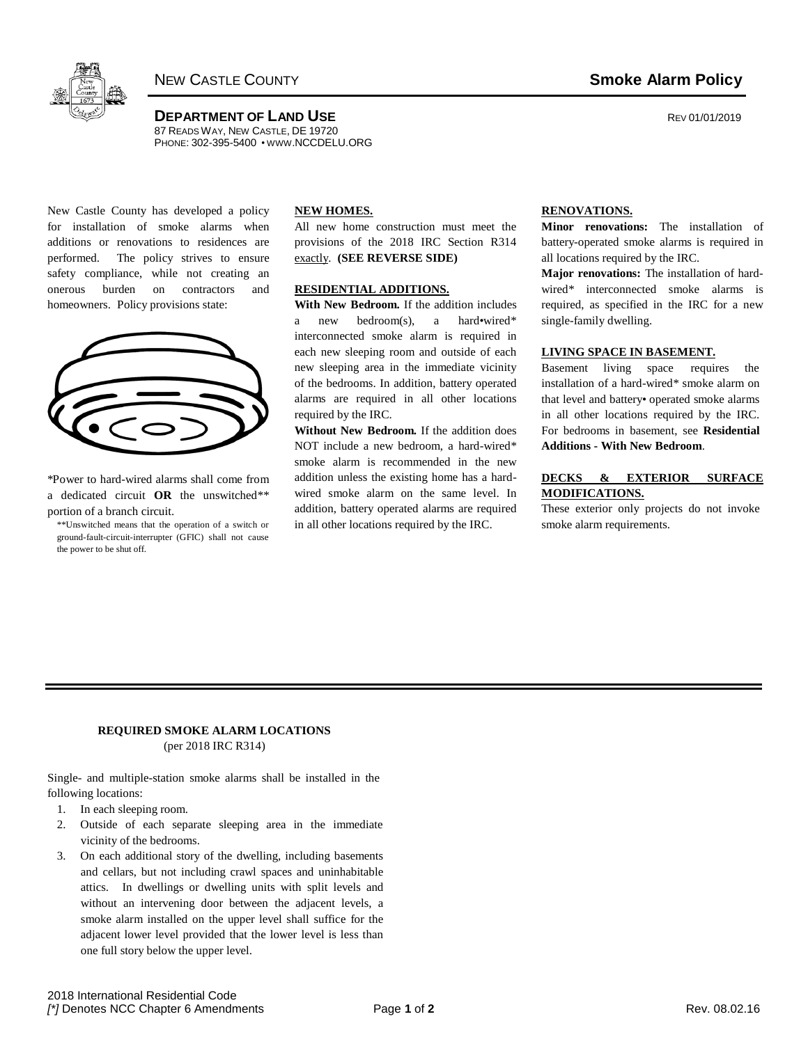

**DEPARTMENT OF LAND USE CONSUMING A REV 01/01/2019** 87 READS WAY, NEW CASTLE, DE 19720 PHONE: 302-395-5400 • WWW[.NCCDELU.ORG](http://www.nccdelu.org/)

New Castle County has developed a policy for installation of smoke alarms when additions or renovations to residences are performed. The policy strives to ensure safety compliance, while not creating an onerous burden on contractors and homeowners. Policy provisions state:

| $\bigg($<br>Ĺ. | $\overline{\phantom{a}}$ |
|----------------|--------------------------|
|                |                          |

\*Power to hard-wired alarms shall come from a dedicated circuit **OR** the unswitched\*\* portion of a branch circuit.

\*\*Unswitched means that the operation of a switch or ground-fault-circuit-interrupter (GFIC) shall not cause the power to be shut off.

### **NEW HOMES.**

All new home construction must meet the provisions of the 2018 IRC Section R314 exactly. **(SEE REVERSE SIDE)**

### **RESIDENTIAL ADDITIONS.**

**With New Bedroom.** If the addition includes a new bedroom(s), a hard•wired\* interconnected smoke alarm is required in each new sleeping room and outside of each new sleeping area in the immediate vicinity of the bedrooms. In addition, battery operated alarms are required in all other locations required by the IRC.

**Without New Bedroom.** If the addition does NOT include a new bedroom, a hard-wired\* smoke alarm is recommended in the new addition unless the existing home has a hardwired smoke alarm on the same level. In addition, battery operated alarms are required in all other locations required by the IRC.

## **RENOVATIONS.**

**Minor renovations:** The installation of battery-operated smoke alarms is required in all locations required by the IRC.

**Major renovations:** The installation of hardwired\* interconnected smoke alarms is required, as specified in the IRC for a new single-family dwelling.

#### **LIVING SPACE IN BASEMENT.**

Basement living space requires the installation of a hard-wired\* smoke alarm on that level and battery• operated smoke alarms in all other locations required by the IRC. For bedrooms in basement, see **Residential Additions - With New Bedroom**.

## **DECKS & EXTERIOR SURFACE MODIFICATIONS.**

These exterior only projects do not invoke smoke alarm requirements.

## **REQUIRED SMOKE ALARM LOCATIONS** (per 2018 IRC R314)

Single- and multiple-station smoke alarms shall be installed in the following locations:

- 1. In each sleeping room.
- 2. Outside of each separate sleeping area in the immediate vicinity of the bedrooms.
- 3. On each additional story of the dwelling, including basements and cellars, but not including crawl spaces and uninhabitable attics. In dwellings or dwelling units with split levels and without an intervening door between the adjacent levels, a smoke alarm installed on the upper level shall suffice for the adjacent lower level provided that the lower level is less than one full story below the upper level.